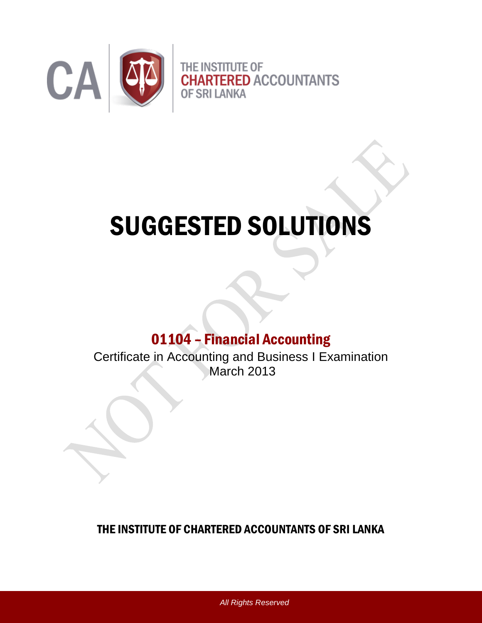

# SUGGESTED SOLUTIONS

# 01104 – Financial Accounting

Certificate in Accounting and Business I Examination March 2013

THE INSTITUTE OF CHARTERED ACCOUNTANTS OF SRI LANKA

*All Rights Reserved*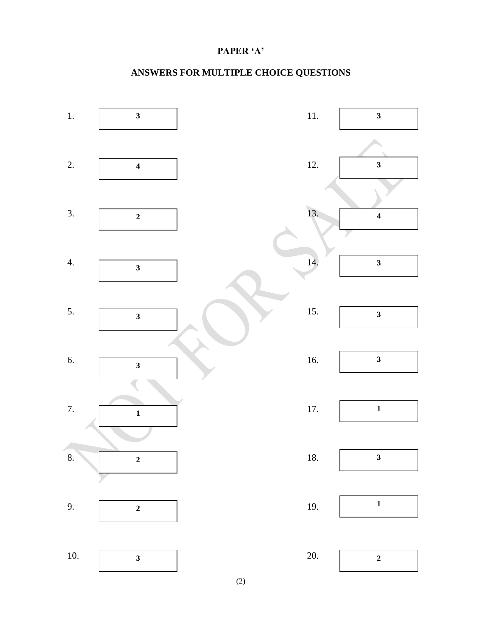#### **PAPER 'A'**

### **ANSWERS FOR MULTIPLE CHOICE QUESTIONS**



(2)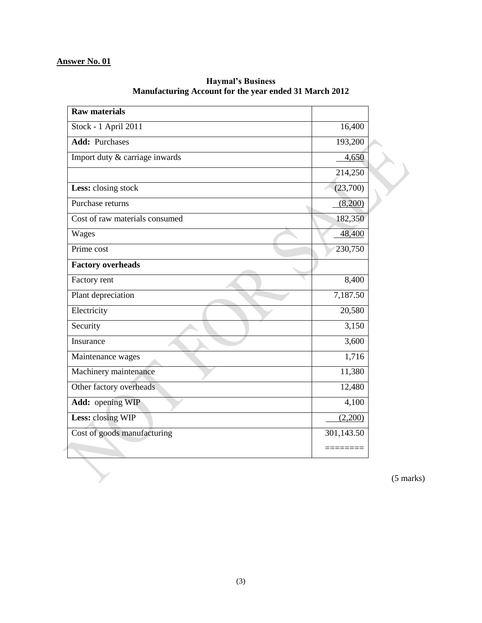| <b>Raw materials</b>           |            |  |
|--------------------------------|------------|--|
| Stock - 1 April 2011           | 16,400     |  |
| <b>Add: Purchases</b>          | 193,200    |  |
| Import duty & carriage inwards | 4,650      |  |
|                                | 214,250    |  |
| Less: closing stock            | (23,700)   |  |
| Purchase returns               | (8,200)    |  |
| Cost of raw materials consumed | 182,350    |  |
| Wages                          | 48,400     |  |
| Prime cost                     | 230,750    |  |
| <b>Factory overheads</b>       |            |  |
| Factory rent                   | 8,400      |  |
| Plant depreciation             | 7,187.50   |  |
| Electricity                    | 20,580     |  |
| Security                       | 3,150      |  |
| Insurance                      | 3,600      |  |
| Maintenance wages              | 1,716      |  |
| Machinery maintenance          | 11,380     |  |
| Other factory overheads        | 12,480     |  |
| Add: opening WIP               | 4,100      |  |
| Less: closing WIP              | (2,200)    |  |
| Cost of goods manufacturing    | 301,143.50 |  |
|                                |            |  |

**Haymal's Business Manufacturing Account for the year ended 31 March 2012**

(5 marks)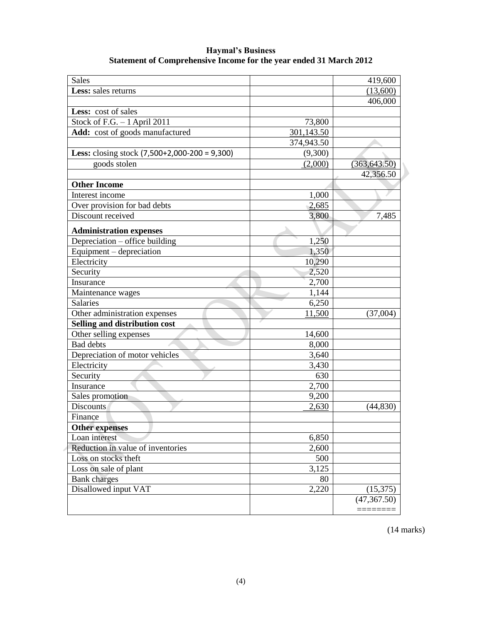| <b>Sales</b>                                           |            | 419,600       |
|--------------------------------------------------------|------------|---------------|
| Less: sales returns                                    |            | (13,600)      |
|                                                        |            | 406,000       |
| Less: cost of sales                                    |            |               |
| Stock of F.G. $-1$ April 2011                          | 73,800     |               |
| Add: cost of goods manufactured                        | 301,143.50 |               |
|                                                        | 374,943.50 |               |
| <b>Less:</b> closing stock $(7,500+2,000-200 = 9,300)$ | (9,300)    |               |
| goods stolen                                           | (2,000)    | (363, 643.50) |
|                                                        |            | 42,356.50     |
| <b>Other Income</b>                                    |            |               |
| Interest income                                        | 1,000      |               |
| Over provision for bad debts                           | 2,685      |               |
| Discount received                                      | 3,800      | 7,485         |
|                                                        |            |               |
| <b>Administration expenses</b>                         |            |               |
| Depreciation - office building                         | 1,250      |               |
| Equipment – depreciation                               | 1,350      |               |
| Electricity                                            | 10,290     |               |
| Security                                               | 2,520      |               |
| Insurance                                              | 2,700      |               |
| Maintenance wages                                      | 1,144      |               |
| <b>Salaries</b>                                        | 6,250      |               |
| Other administration expenses                          | 11,500     | (37,004)      |
| Selling and distribution cost                          |            |               |
| Other selling expenses                                 | 14,600     |               |
| <b>Bad</b> debts                                       | 8,000      |               |
| Depreciation of motor vehicles                         | 3,640      |               |
| Electricity                                            | 3,430      |               |
| Security                                               | 630        |               |
| Insurance                                              | 2,700      |               |
| Sales promotion                                        | 9,200      |               |
| <b>Discounts</b>                                       | 2,630      | (44, 830)     |
| Finance                                                |            |               |
| <b>Other expenses</b>                                  |            |               |
| Loan interest                                          | 6,850      |               |
| Reduction in value of inventories                      | 2,600      |               |
| Loss on stocks theft                                   | 500        |               |
| Loss on sale of plant                                  | 3,125      |               |
| <b>Bank</b> charges                                    | 80         |               |
| Disallowed input VAT                                   | 2,220      | (15, 375)     |
|                                                        |            | (47, 367.50)  |
|                                                        |            |               |
|                                                        |            |               |

**Haymal's Business Statement of Comprehensive Income for the year ended 31 March 2012**

(14 marks)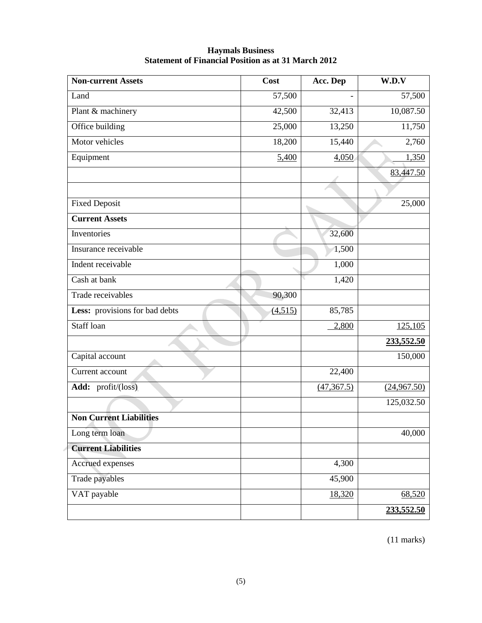| Non-current Assets             | Cost    | Acc. Dep    | W.D.V       |
|--------------------------------|---------|-------------|-------------|
| Land                           | 57,500  |             | 57,500      |
| Plant & machinery              | 42,500  | 32,413      | 10,087.50   |
| Office building                | 25,000  | 13,250      | 11,750      |
| Motor vehicles                 | 18,200  | 15,440      | 2,760       |
| Equipment                      | 5,400   | 4,050       | 1,350       |
|                                |         |             | 83,447.50   |
|                                |         |             |             |
| <b>Fixed Deposit</b>           |         |             | 25,000      |
| <b>Current Assets</b>          |         |             |             |
| Inventories                    |         | 32,600      |             |
| Insurance receivable           |         | 1,500       |             |
| Indent receivable              |         | 1,000       |             |
| Cash at bank                   |         | 1,420       |             |
| Trade receivables              | 90,300  |             |             |
| Less: provisions for bad debts | (4,515) | 85,785      |             |
| Staff loan                     |         | 2,800       | 125,105     |
|                                |         |             | 233,552.50  |
| Capital account                |         |             | 150,000     |
| Current account                |         | 22,400      |             |
| Add: profit/(loss)             |         | (47, 367.5) | (24,967.50) |
|                                |         |             | 125,032.50  |
| <b>Non Current Liabilities</b> |         |             |             |
| Long term loan                 |         |             | 40,000      |
| <b>Current Liabilities</b>     |         |             |             |
| Accrued expenses               |         | 4,300       |             |
| Trade payables                 |         | 45,900      |             |
| VAT payable                    |         | 18,320      | 68,520      |
|                                |         |             | 233,552.50  |

#### **Haymals Business Statement of Financial Position as at 31 March 2012**

(11 marks)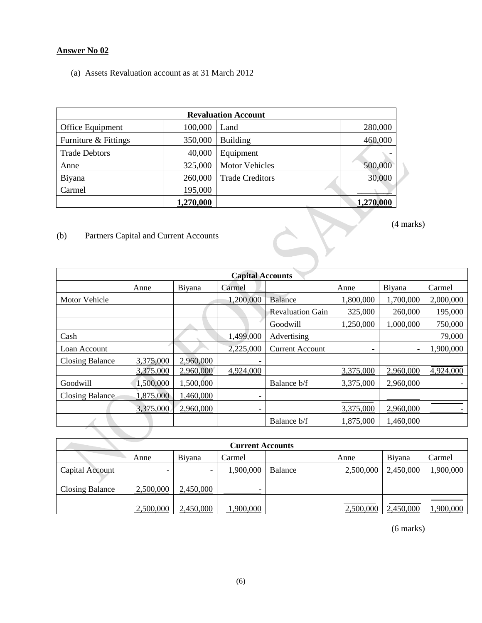#### **Answer No 02**

(a) Assets Revaluation account as at 31 March 2012

| <b>Revaluation Account</b> |           |                        |           |  |  |  |
|----------------------------|-----------|------------------------|-----------|--|--|--|
| Office Equipment           | 100,000   | Land                   | 280,000   |  |  |  |
| Furniture & Fittings       | 350,000   | <b>Building</b>        | 460,000   |  |  |  |
| <b>Trade Debtors</b>       | 40,000    | Equipment              |           |  |  |  |
| Anne                       | 325,000   | <b>Motor Vehicles</b>  | 500,000   |  |  |  |
| Biyana                     | 260,000   | <b>Trade Creditors</b> | 30,000    |  |  |  |
| Carmel                     | 195,000   |                        |           |  |  |  |
|                            | 1,270,000 |                        | 1,270,000 |  |  |  |

(b) Partners Capital and Current Accounts

| <b>Capital Accounts</b> |           |           |                          |                         |                          |           |           |
|-------------------------|-----------|-----------|--------------------------|-------------------------|--------------------------|-----------|-----------|
|                         | Anne      | Biyana    | Carmel                   |                         | Anne                     | Biyana    | Carmel    |
| Motor Vehicle           |           |           | 1,200,000                | <b>Balance</b>          | 1,800,000                | 1,700,000 | 2,000,000 |
|                         |           |           |                          | <b>Revaluation Gain</b> | 325,000                  | 260,000   | 195,000   |
|                         |           |           |                          | Goodwill                | 1,250,000                | 1,000,000 | 750,000   |
| Cash                    |           |           | 1,499,000                | Advertising             |                          |           | 79,000    |
| Loan Account            |           |           | 2,225,000                | <b>Current Account</b>  | $\overline{\phantom{0}}$ | -         | 1,900,000 |
| <b>Closing Balance</b>  | 3,375,000 | 2,960,000 |                          |                         |                          |           |           |
|                         | 3,375,000 | 2,960,000 | 4,924,000                |                         | 3,375,000                | 2,960,000 | 4,924,000 |
| Goodwill                | 1,500,000 | 1,500,000 |                          | Balance b/f             | 3,375,000                | 2,960,000 |           |
| <b>Closing Balance</b>  | 1,875,000 | 1,460,000 |                          |                         |                          |           |           |
|                         | 3,375,000 | 2,960,000 | $\overline{\phantom{0}}$ |                         | 3,375,000                | 2,960,000 |           |
|                         |           |           |                          | Balance b/f             | 1,875,000                | 1,460,000 |           |
|                         |           |           |                          |                         |                          |           |           |

 $\Delta$ 

| <b>Current Accounts</b> |           |                          |               |         |           |                |           |
|-------------------------|-----------|--------------------------|---------------|---------|-----------|----------------|-----------|
|                         | Anne      | Biyana                   | <b>Carmel</b> |         | Anne      | <b>B</b> iyana | Carmel    |
| Capital Account         |           | $\overline{\phantom{0}}$ | ,900,000      | Balance | 2,500,000 | 2,450,000      | 1,900,000 |
| Closing Balance         | 2,500,000 | 2,450,000                |               |         |           |                |           |
|                         | 2,500,000 | 2,450,000                | ,900,000      |         | 2,500,000 | 2,450,000      | 1,900,000 |

(6 marks)

(4 marks)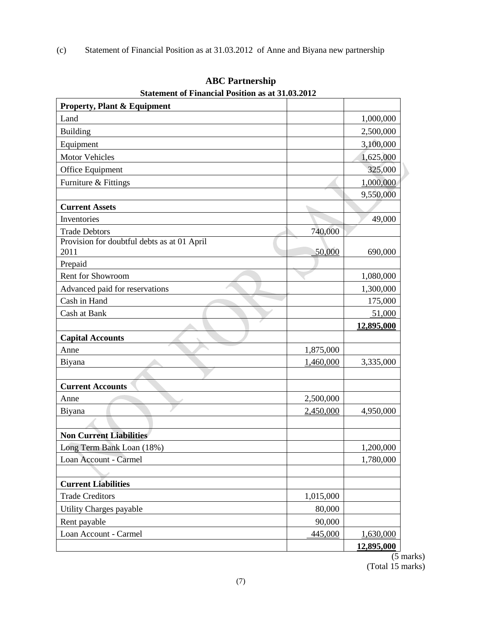(c) Statement of Financial Position as at 31.03.2012 of Anne and Biyana new partnership

| <b>Property, Plant &amp; Equipment</b>      |           |            |
|---------------------------------------------|-----------|------------|
| Land                                        |           | 1,000,000  |
| Building                                    |           | 2,500,000  |
| Equipment                                   |           | 3,100,000  |
| <b>Motor Vehicles</b>                       |           | 1,625,000  |
| Office Equipment                            |           | 325,000    |
| Furniture & Fittings                        |           | 1,000,000  |
|                                             |           | 9,550,000  |
| <b>Current Assets</b>                       |           |            |
| Inventories                                 |           | 49,000     |
| <b>Trade Debtors</b>                        | 740,000   |            |
| Provision for doubtful debts as at 01 April |           |            |
| 2011                                        | 50,000    | 690,000    |
| Prepaid                                     |           |            |
| Rent for Showroom                           |           | 1,080,000  |
| Advanced paid for reservations              |           | 1,300,000  |
| Cash in Hand                                |           | 175,000    |
| Cash at Bank                                |           | 51,000     |
|                                             |           | 12,895,000 |
| <b>Capital Accounts</b>                     |           |            |
| Anne                                        | 1,875,000 |            |
| Biyana                                      | 1,460,000 | 3,335,000  |
|                                             |           |            |
| <b>Current Accounts</b>                     |           |            |
| Anne                                        | 2,500,000 |            |
| Biyana                                      | 2,450,000 | 4,950,000  |
|                                             |           |            |
| <b>Non Current Liabilities</b>              |           |            |
| Long Term Bank Loan (18%)                   |           | 1,200,000  |
| Loan Account - Carmel                       |           | 1,780,000  |
|                                             |           |            |
| <b>Current Liabilities</b>                  |           |            |
| <b>Trade Creditors</b>                      | 1,015,000 |            |
| Utility Charges payable                     | 80,000    |            |
| Rent payable                                | 90,000    |            |
| Loan Account - Carmel                       | 445,000   | 1,630,000  |
|                                             |           | 12,895,000 |

**ABC Partnership Statement of Financial Position as at 31.03.2012**

(5 marks) (Total 15 marks)

 $\blacktriangleright$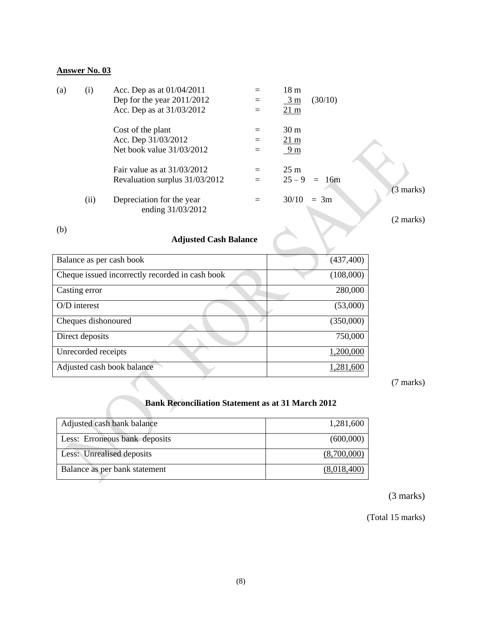#### **Answer No. 03**

| (a) | (i)  | Acc. Dep as at 01/04/2011      | $=$ | 18 <sub>m</sub>         |                     |
|-----|------|--------------------------------|-----|-------------------------|---------------------|
|     |      | Dep for the year $2011/2012$   | $=$ | $\frac{3 \text{ m}}{2}$ | (30/10)             |
|     |      | Acc. Dep as at 31/03/2012      | $=$ | $21 \text{ m}$          |                     |
|     |      | Cost of the plant              |     | 30 <sub>m</sub>         |                     |
|     |      | Acc. Dep 31/03/2012            | $=$ | $21 \text{ m}$          |                     |
|     |      | Net book value 31/03/2012      | $=$ | 9 <sub>m</sub>          |                     |
|     |      | Fair value as at $31/03/2012$  | $=$ | $25 \text{ m}$          |                     |
|     |      | Revaluation surplus 31/03/2012 | $=$ | $25 - 9$                | $= 16m$             |
|     |      |                                |     |                         | $(3 \text{ marks})$ |
|     | (ii) | Depreciation for the year      | $=$ | 30/10                   | $= 3m$              |
|     |      | ending 31/03/2012              |     |                         |                     |
|     |      |                                |     |                         | $(2 \text{ marks})$ |
| (b) |      |                                |     |                         |                     |
|     |      | $\sim$ $\sim$ $\sim$<br>.      |     |                         |                     |

(b)

## **Adjusted Cash Balance**

| Balance as per cash book                        | (437, 400) |
|-------------------------------------------------|------------|
| Cheque issued incorrectly recorded in cash book | (108,000)  |
| Casting error                                   | 280,000    |
| $O/D$ interest                                  | (53,000)   |
| Cheques dishonoured                             | (350,000)  |
| Direct deposits                                 | 750,000    |
| Unrecorded receipts                             | 1,200,000  |
| Adjusted cash book balance                      | 1,281,600  |

(7 marks)

#### **Bank Reconciliation Statement as at 31 March 2012**

| Adjusted cash bank balance    | 1,281,600   |
|-------------------------------|-------------|
| Less: Erroneous bank deposits | (600,000)   |
| Less: Unrealised deposits     | (8,700,000) |
| Balance as per bank statement | (8,018,400) |

(3 marks)

(Total 15 marks)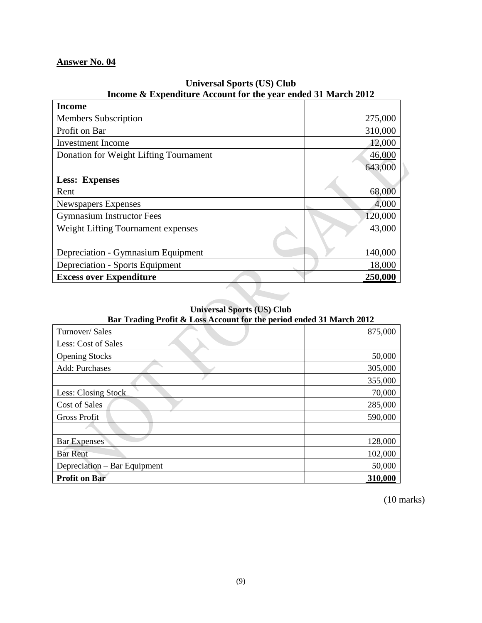#### **Answer No. 04**

| <b>Income</b>                          |         |
|----------------------------------------|---------|
| <b>Members Subscription</b>            | 275,000 |
| Profit on Bar                          | 310,000 |
| <b>Investment</b> Income               | 12,000  |
| Donation for Weight Lifting Tournament | 46,000  |
|                                        | 643,000 |
| <b>Less: Expenses</b>                  |         |
| Rent                                   | 68,000  |
| <b>Newspapers Expenses</b>             | 4,000   |
| <b>Gymnasium Instructor Fees</b>       | 120,000 |
| Weight Lifting Tournament expenses     | 43,000  |
|                                        |         |
| Depreciation - Gymnasium Equipment     | 140,000 |
| <b>Depreciation - Sports Equipment</b> | 18,000  |
| <b>Excess over Expenditure</b>         | 250,000 |
|                                        |         |

#### **Universal Sports (US) Club Income & Expenditure Account for the year ended 31 March 2012**

#### **Universal Sports (US) Club**

**Bar Trading Profit & Loss Account for the period ended 31 March 2012**

| -<br>Turnover/Sales          | 875,000 |
|------------------------------|---------|
| Less: Cost of Sales          |         |
| <b>Opening Stocks</b>        | 50,000  |
| Add: Purchases               | 305,000 |
|                              | 355,000 |
| Less: Closing Stock          | 70,000  |
| Cost of Sales                | 285,000 |
| <b>Gross Profit</b>          | 590,000 |
|                              |         |
| <b>Bar Expenses</b>          | 128,000 |
| <b>Bar Rent</b>              | 102,000 |
| Depreciation – Bar Equipment | 50,000  |
| <b>Profit on Bar</b>         | 310,000 |

(10 marks)

 $\blacktriangleright$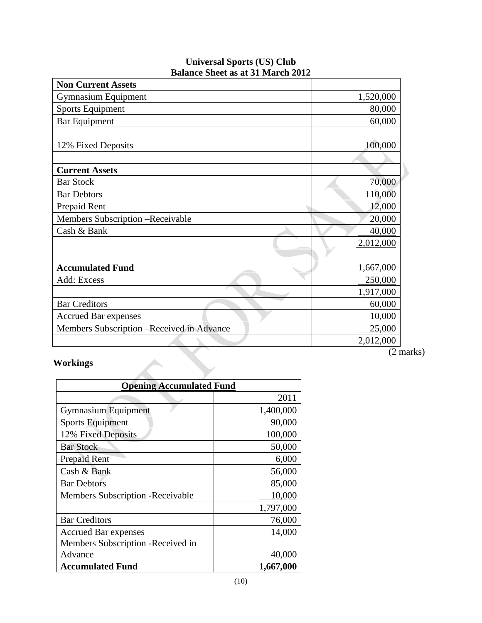| <b>Non Current Assets</b>                 |           |
|-------------------------------------------|-----------|
| <b>Gymnasium Equipment</b>                | 1,520,000 |
| <b>Sports Equipment</b>                   | 80,000    |
| <b>Bar Equipment</b>                      | 60,000    |
|                                           |           |
| 12% Fixed Deposits                        | 100,000   |
|                                           |           |
| <b>Current Assets</b>                     |           |
| <b>Bar Stock</b>                          | 70,000    |
| <b>Bar Debtors</b>                        | 110,000   |
| Prepaid Rent                              | 12,000    |
| Members Subscription - Receivable         | 20,000    |
| Cash & Bank                               | 40,000    |
|                                           | 2,012,000 |
|                                           |           |
| <b>Accumulated Fund</b>                   | 1,667,000 |
| Add: Excess                               | 250,000   |
|                                           | 1,917,000 |
| <b>Bar Creditors</b>                      | 60,000    |
| <b>Accrued Bar expenses</b>               | 10,000    |
| Members Subscription -Received in Advance | 25,000    |
|                                           | 2,012,000 |

#### **Universal Sports (US) Club Balance Sheet as at 31 March 2012**

#### **Workings**

| <b>Opening Accumulated Fund</b>          |           |
|------------------------------------------|-----------|
|                                          | 2011      |
| <b>Gymnasium Equipment</b>               | 1,400,000 |
| <b>Sports Equipment</b>                  | 90,000    |
| 12% Fixed Deposits                       | 100,000   |
| <b>Bar Stock</b>                         | 50,000    |
| Prepaid Rent                             | 6,000     |
| Cash & Bank                              | 56,000    |
| <b>Bar Debtors</b>                       | 85,000    |
| <b>Members Subscription - Receivable</b> | 10,000    |
|                                          | 1,797,000 |
| <b>Bar Creditors</b>                     | 76,000    |
| <b>Accrued Bar expenses</b>              | 14,000    |
| Members Subscription - Received in       |           |
| Advance                                  | 40,000    |
| <b>Accumulated Fund</b>                  | 1,667,000 |

 $\frac{1}{(2 \text{ marks})}$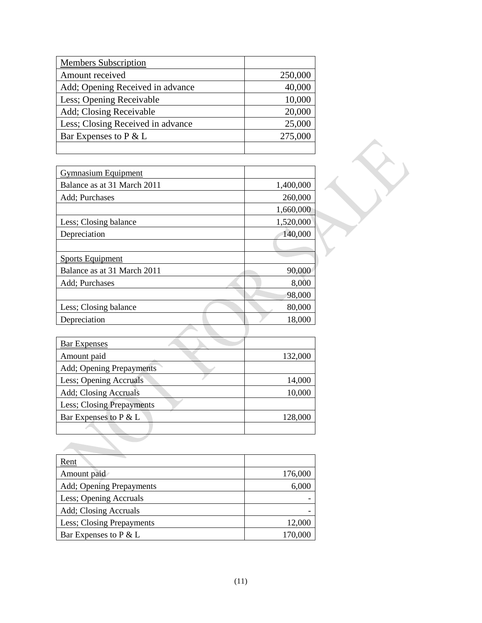| <b>Members Subscription</b>       |         |
|-----------------------------------|---------|
| Amount received                   | 250,000 |
| Add; Opening Received in advance  | 40,000  |
| Less; Opening Receivable          | 10,000  |
| Add; Closing Receivable           | 20,000  |
| Less; Closing Received in advance | 25,000  |
| Bar Expenses to P & L             | 275,000 |
|                                   |         |

| <b>Gymnasium Equipment</b>  |           |
|-----------------------------|-----------|
| Balance as at 31 March 2011 | 1,400,000 |
| Add; Purchases              | 260,000   |
|                             | 1,660,000 |
| Less; Closing balance       | 1,520,000 |
| Depreciation                | 140,000   |
|                             |           |
| <b>Sports Equipment</b>     |           |
| Balance as at 31 March 2011 | 90,000    |
| Add; Purchases              | 8,000     |
|                             | 98,000    |
| Less; Closing balance       | 80,000    |
| Depreciation                | 18,000    |

| <b>Bar Expenses</b>               |         |
|-----------------------------------|---------|
| Amount paid                       | 132,000 |
| Add; Opening Prepayments          |         |
| Less; Opening Accruals            | 14,000  |
| Add; Closing Accruals             | 10,000  |
| <b>Less</b> ; Closing Prepayments |         |
| Bar Expenses to $P \& L$          | 128,000 |
|                                   |         |

| Rent                      |         |
|---------------------------|---------|
| Amount paid               | 176,000 |
| Add; Opening Prepayments  | 6,000   |
| Less; Opening Accruals    |         |
| Add; Closing Accruals     |         |
| Less; Closing Prepayments | 12,000  |
| Bar Expenses to P & L     | 170,000 |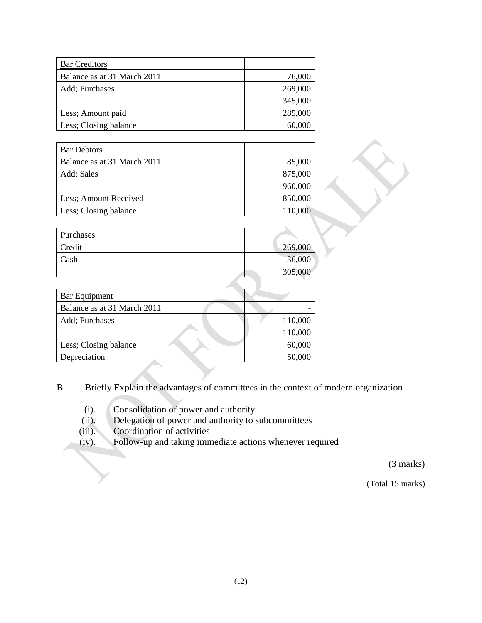| <b>Bar Creditors</b>        |         |
|-----------------------------|---------|
| Balance as at 31 March 2011 | 76,000  |
| Add; Purchases              | 269,000 |
|                             | 345,000 |
| Less; Amount paid           | 285,000 |
| Less; Closing balance       | 60,000  |

| <b>Bar Debtors</b>          |         |
|-----------------------------|---------|
| Balance as at 31 March 2011 | 85,000  |
| Add; Sales                  | 875,000 |
|                             | 960,000 |
| Less; Amount Received       | 850,000 |
| Less; Closing balance       | 110,000 |

| Purchases |         |
|-----------|---------|
| Credit    | 269,000 |
| Cash      | 36,000  |
|           | 305,000 |

| 110,000 |
|---------|
| 110,000 |
| 60,000  |
| 50,000  |
|         |

- B. Briefly Explain the advantages of committees in the context of modern organization
	- (i). Consolidation of power and authority
	- (ii). Delegation of power and authority to subcommittees
	-
	- (iii). Coordination of activities<br>(iv). Follow-up and taking imm Follow-up and taking immediate actions whenever required

(3 marks)

(Total 15 marks)